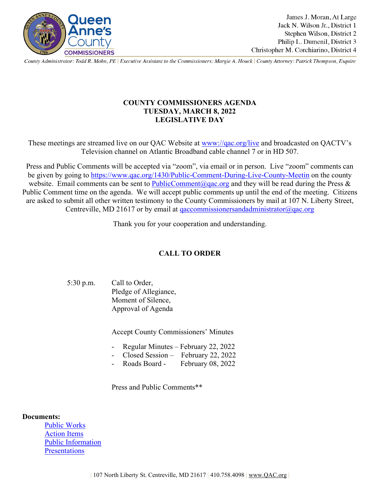

County Administrator: Todd R. Mohn, PE | Executive Assistant to the Commissioners: Margie A. Houck | County Attorney: Patrick Thompson, Esquire

## **COUNTY COMMISSIONERS AGENDA TUESDAY, MARCH 8, 2022 LEGISLATIVE DAY**

These meetings are streamed live on our QAC Website at [www://qac.org/live](https://qac.org/live) and broadcasted on QACTV's Television channel on Atlantic Broadband cable channel 7 or in HD 507.

Press and Public Comments will be accepted via "zoom", via email or in person. Live "zoom" comments can be given by going to<https://www.qac.org/1430/Public-Comment-During-Live-County-Meetin> on the county website. Email comments can be sent to [PublicComment@qac.org](mailto:PublicComment@qac.org) and they will be read during the Press & Public Comment time on the agenda. We will accept public comments up until the end of the meeting. Citizens are asked to submit all other written testimony to the County Commissioners by mail at 107 N. Liberty Street, Centreville, MD 21617 or by email at [qaccommissionersandadministrator@qac.org](mailto:qaccommissionersandadministrator@qac.org)

Thank you for your cooperation and understanding.

# **CALL TO ORDER**

5:30 p.m. Call to Order, Pledge of Allegiance, Moment of Silence, Approval of Agenda

Accept County Commissioners' Minutes

- Regular Minutes February 22, 2022
- Closed Session February 22, 2022
- Roads Board February 08, 2022

Press and Public Comments\*\*

### **Documents:**

[Public Works](https://www.qac.org/DocumentCenter/View/16160/Public-Works-3822) [Action Items](https://www.qac.org/DocumentCenter/View/16161/Action-Items-3822) [Public Information](https://www.qac.org/DocumentCenter/View/16162/Public-Information-3822) **[Presentations](https://www.qac.org/DocumentCenter/View/16163/Presentations-3822)**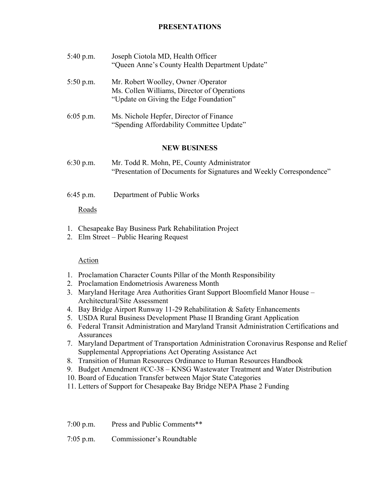## **PRESENTATIONS**

| $5:40$ p.m. | Joseph Ciotola MD, Health Officer              |  |
|-------------|------------------------------------------------|--|
|             | "Queen Anne's County Health Department Update" |  |

- 5:50 p.m. Mr. Robert Woolley, Owner /Operator Ms. Collen Williams, Director of Operations "Update on Giving the Edge Foundation"
- 6:05 p.m. Ms. Nichole Hepfer, Director of Finance "Spending Affordability Committee Update"

#### **NEW BUSINESS**

- 6:30 p.m. Mr. Todd R. Mohn, PE, County Administrator "Presentation of Documents for Signatures and Weekly Correspondence"
- 6:45 p.m. Department of Public Works

### Roads

- 1. Chesapeake Bay Business Park Rehabilitation Project
- 2. Elm Street Public Hearing Request

### Action

- 1. Proclamation Character Counts Pillar of the Month Responsibility
- 2. Proclamation Endometriosis Awareness Month
- 3. Maryland Heritage Area Authorities Grant Support Bloomfield Manor House Architectural/Site Assessment
- 4. Bay Bridge Airport Runway 11-29 Rehabilitation & Safety Enhancements
- 5. USDA Rural Business Development Phase II Branding Grant Application
- 6. Federal Transit Administration and Maryland Transit Administration Certifications and **Assurances**
- 7. Maryland Department of Transportation Administration Coronavirus Response and Relief Supplemental Appropriations Act Operating Assistance Act
- 8. Transition of Human Resources Ordinance to Human Resources Handbook
- 9. Budget Amendment #CC-38 KNSG Wastewater Treatment and Water Distribution
- 10. Board of Education Transfer between Major State Categories
- 11. Letters of Support for Chesapeake Bay Bridge NEPA Phase 2 Funding

7:05 p.m. Commissioner's Roundtable